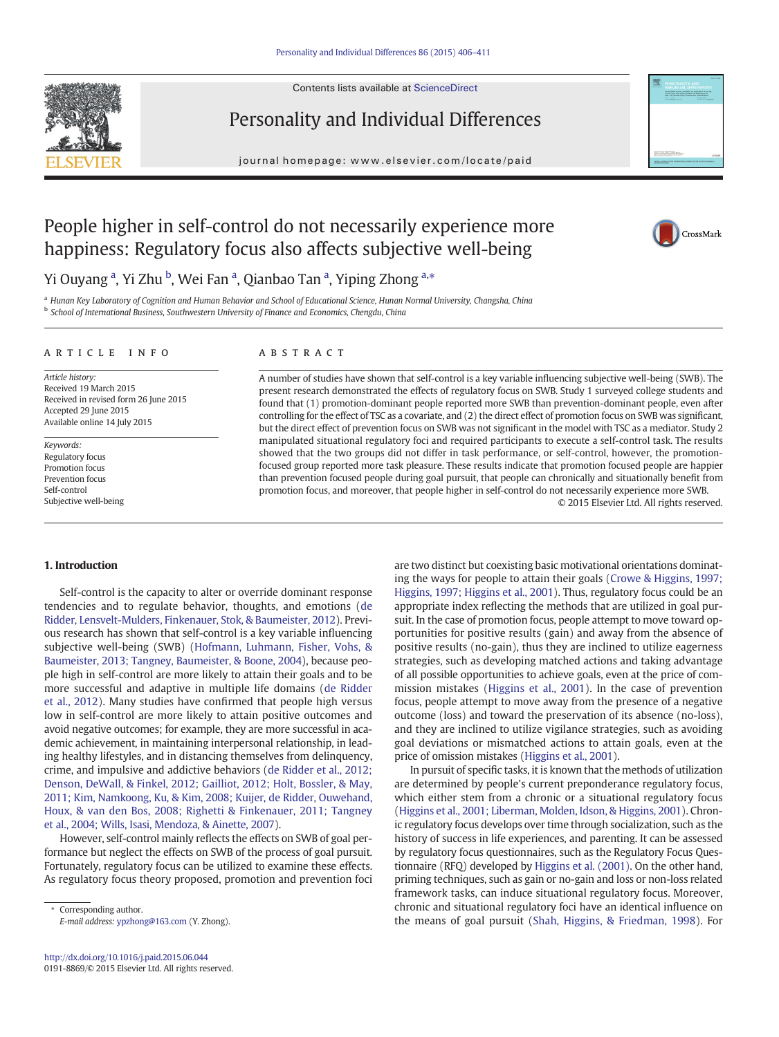Contents lists available at [ScienceDirect](http://www.sciencedirect.com/science/journal/)



Personality and Individual Differences

journal homepage: www.elsevier.com/locate/paid



# People higher in self-control do not necessarily experience more happiness: Regulatory focus also affects subjective well-being



## Yi Ouyang <sup>a</sup>, Yi Zhu <sup>b</sup>, Wei Fan <sup>a</sup>, Qianbao Tan <sup>a</sup>, Yiping Zhong <sup>a,</sup>\*

a Hunan Key Laboratory of Cognition and Human Behavior and School of Educational Science, Hunan Normal University, Changsha, China **b** School of International Business, Southwestern University of Finance and Economics, Chengdu, China

#### article info abstract

Article history: Received 19 March 2015 Received in revised form 26 June 2015 Accepted 29 June 2015 Available online 14 July 2015

Keywords: Regulatory focus Promotion focus Prevention focus Self-control Subjective well-being

A number of studies have shown that self-control is a key variable influencing subjective well-being (SWB). The present research demonstrated the effects of regulatory focus on SWB. Study 1 surveyed college students and found that (1) promotion-dominant people reported more SWB than prevention-dominant people, even after controlling for the effect of TSC as a covariate, and (2) the direct effect of promotion focus on SWB was significant, but the direct effect of prevention focus on SWB was not significant in the model with TSC as a mediator. Study 2 manipulated situational regulatory foci and required participants to execute a self-control task. The results showed that the two groups did not differ in task performance, or self-control, however, the promotionfocused group reported more task pleasure. These results indicate that promotion focused people are happier than prevention focused people during goal pursuit, that people can chronically and situationally benefit from promotion focus, and moreover, that people higher in self-control do not necessarily experience more SWB. © 2015 Elsevier Ltd. All rights reserved.

### 1. Introduction

Self-control is the capacity to alter or override dominant response tendencies and to regulate behavior, thoughts, and emotions ([de](#page--1-0) [Ridder, Lensvelt-Mulders, Finkenauer, Stok, & Baumeister, 2012\)](#page--1-0). Previous research has shown that self-control is a key variable influencing subjective well-being (SWB) ([Hofmann, Luhmann, Fisher, Vohs, &](#page--1-0) [Baumeister, 2013; Tangney, Baumeister, & Boone, 2004\)](#page--1-0), because people high in self-control are more likely to attain their goals and to be more successful and adaptive in multiple life domains [\(de Ridder](#page--1-0) [et al., 2012](#page--1-0)). Many studies have confirmed that people high versus low in self-control are more likely to attain positive outcomes and avoid negative outcomes; for example, they are more successful in academic achievement, in maintaining interpersonal relationship, in leading healthy lifestyles, and in distancing themselves from delinquency, crime, and impulsive and addictive behaviors ([de Ridder et al., 2012;](#page--1-0) [Denson, DeWall, & Finkel, 2012; Gailliot, 2012; Holt, Bossler, & May,](#page--1-0) [2011; Kim, Namkoong, Ku, & Kim, 2008; Kuijer, de Ridder, Ouwehand,](#page--1-0) [Houx, & van den Bos, 2008; Righetti & Finkenauer, 2011; Tangney](#page--1-0) [et al., 2004; Wills, Isasi, Mendoza, & Ainette, 2007\)](#page--1-0).

However, self-control mainly reflects the effects on SWB of goal performance but neglect the effects on SWB of the process of goal pursuit. Fortunately, regulatory focus can be utilized to examine these effects. As regulatory focus theory proposed, promotion and prevention foci

Corresponding author. E-mail address: [ypzhong@163.com](mailto:ypzhong@163.com) (Y. Zhong). are two distinct but coexisting basic motivational orientations dominating the ways for people to attain their goals ([Crowe & Higgins, 1997;](#page--1-0) [Higgins, 1997; Higgins et al., 2001](#page--1-0)). Thus, regulatory focus could be an appropriate index reflecting the methods that are utilized in goal pursuit. In the case of promotion focus, people attempt to move toward opportunities for positive results (gain) and away from the absence of positive results (no-gain), thus they are inclined to utilize eagerness strategies, such as developing matched actions and taking advantage of all possible opportunities to achieve goals, even at the price of commission mistakes [\(Higgins et al., 2001](#page--1-0)). In the case of prevention focus, people attempt to move away from the presence of a negative outcome (loss) and toward the preservation of its absence (no-loss), and they are inclined to utilize vigilance strategies, such as avoiding goal deviations or mismatched actions to attain goals, even at the price of omission mistakes [\(Higgins et al., 2001\)](#page--1-0).

In pursuit of specific tasks, it is known that the methods of utilization are determined by people's current preponderance regulatory focus, which either stem from a chronic or a situational regulatory focus [\(Higgins et al., 2001; Liberman, Molden, Idson, & Higgins, 2001](#page--1-0)). Chronic regulatory focus develops over time through socialization, such as the history of success in life experiences, and parenting. It can be assessed by regulatory focus questionnaires, such as the Regulatory Focus Questionnaire (RFQ) developed by [Higgins et al. \(2001\).](#page--1-0) On the other hand, priming techniques, such as gain or no-gain and loss or non-loss related framework tasks, can induce situational regulatory focus. Moreover, chronic and situational regulatory foci have an identical influence on the means of goal pursuit ([Shah, Higgins, & Friedman, 1998](#page--1-0)). For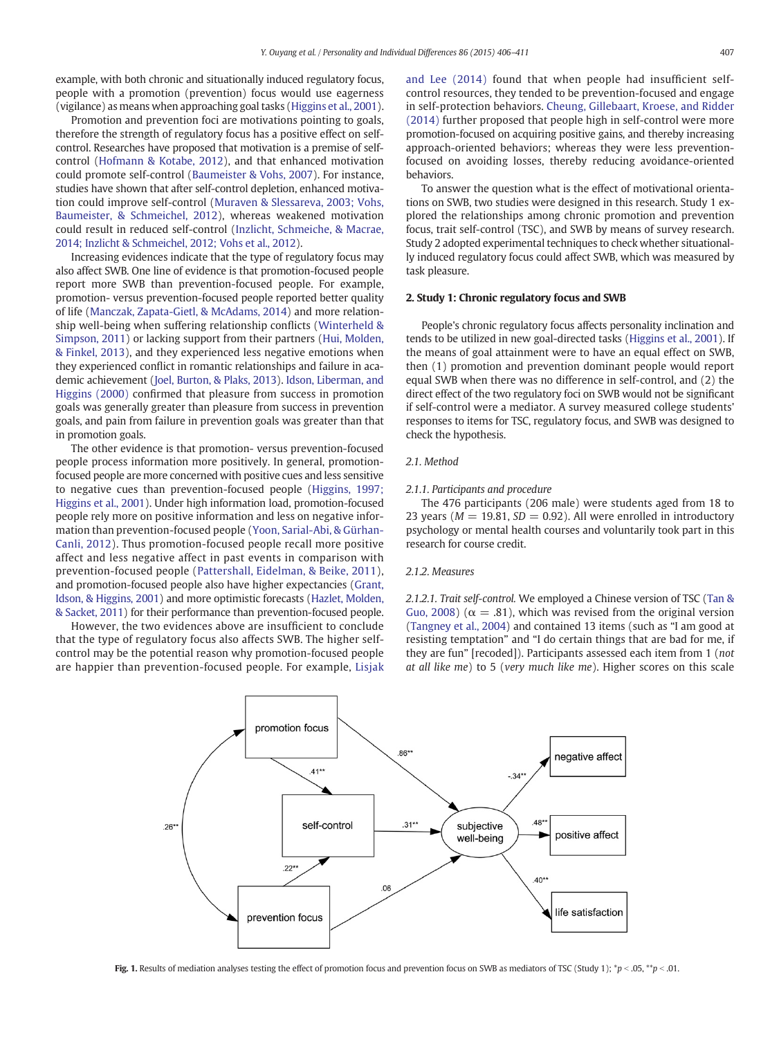example, with both chronic and situationally induced regulatory focus, people with a promotion (prevention) focus would use eagerness (vigilance) as means when approaching goal tasks ([Higgins et al., 2001](#page--1-0)).

Promotion and prevention foci are motivations pointing to goals, therefore the strength of regulatory focus has a positive effect on selfcontrol. Researches have proposed that motivation is a premise of selfcontrol ([Hofmann & Kotabe, 2012\)](#page--1-0), and that enhanced motivation could promote self-control ([Baumeister & Vohs, 2007](#page--1-0)). For instance, studies have shown that after self-control depletion, enhanced motivation could improve self-control [\(Muraven & Slessareva, 2003; Vohs,](#page--1-0) [Baumeister, & Schmeichel, 2012](#page--1-0)), whereas weakened motivation could result in reduced self-control [\(Inzlicht, Schmeiche, & Macrae,](#page--1-0) [2014; Inzlicht & Schmeichel, 2012; Vohs et al., 2012](#page--1-0)).

Increasing evidences indicate that the type of regulatory focus may also affect SWB. One line of evidence is that promotion-focused people report more SWB than prevention-focused people. For example, promotion- versus prevention-focused people reported better quality of life ([Manczak, Zapata-Gietl, & McAdams, 2014](#page--1-0)) and more relationship well-being when suffering relationship conflicts ([Winterheld &](#page--1-0) [Simpson, 2011](#page--1-0)) or lacking support from their partners ([Hui, Molden,](#page--1-0) [& Finkel, 2013\)](#page--1-0), and they experienced less negative emotions when they experienced conflict in romantic relationships and failure in academic achievement [\(Joel, Burton, & Plaks, 2013\)](#page--1-0). [Idson, Liberman, and](#page--1-0) [Higgins \(2000\)](#page--1-0) confirmed that pleasure from success in promotion goals was generally greater than pleasure from success in prevention goals, and pain from failure in prevention goals was greater than that in promotion goals.

The other evidence is that promotion- versus prevention-focused people process information more positively. In general, promotionfocused people are more concerned with positive cues and less sensitive to negative cues than prevention-focused people ([Higgins, 1997;](#page--1-0) [Higgins et al., 2001\)](#page--1-0). Under high information load, promotion-focused people rely more on positive information and less on negative information than prevention-focused people [\(Yoon, Sarial-Abi, & Gürhan-](#page--1-0)[Canli, 2012](#page--1-0)). Thus promotion-focused people recall more positive affect and less negative affect in past events in comparison with prevention-focused people ([Pattershall, Eidelman, & Beike, 2011](#page--1-0)), and promotion-focused people also have higher expectancies [\(Grant,](#page--1-0) [Idson, & Higgins, 2001\)](#page--1-0) and more optimistic forecasts [\(Hazlet, Molden,](#page--1-0) [& Sacket, 2011](#page--1-0)) for their performance than prevention-focused people.

However, the two evidences above are insufficient to conclude that the type of regulatory focus also affects SWB. The higher selfcontrol may be the potential reason why promotion-focused people are happier than prevention-focused people. For example, [Lisjak](#page--1-0) [and Lee \(2014\)](#page--1-0) found that when people had insufficient selfcontrol resources, they tended to be prevention-focused and engage in self-protection behaviors. [Cheung, Gillebaart, Kroese, and Ridder](#page--1-0) [\(2014\)](#page--1-0) further proposed that people high in self-control were more promotion-focused on acquiring positive gains, and thereby increasing approach-oriented behaviors; whereas they were less preventionfocused on avoiding losses, thereby reducing avoidance-oriented behaviors.

To answer the question what is the effect of motivational orientations on SWB, two studies were designed in this research. Study 1 explored the relationships among chronic promotion and prevention focus, trait self-control (TSC), and SWB by means of survey research. Study 2 adopted experimental techniques to check whether situationally induced regulatory focus could affect SWB, which was measured by task pleasure.

#### 2. Study 1: Chronic regulatory focus and SWB

People's chronic regulatory focus affects personality inclination and tends to be utilized in new goal-directed tasks [\(Higgins et al., 2001](#page--1-0)). If the means of goal attainment were to have an equal effect on SWB, then (1) promotion and prevention dominant people would report equal SWB when there was no difference in self-control, and (2) the direct effect of the two regulatory foci on SWB would not be significant if self-control were a mediator. A survey measured college students' responses to items for TSC, regulatory focus, and SWB was designed to check the hypothesis.

#### 2.1. Method

#### 2.1.1. Participants and procedure

The 476 participants (206 male) were students aged from 18 to 23 years ( $M = 19.81$ ,  $SD = 0.92$ ). All were enrolled in introductory psychology or mental health courses and voluntarily took part in this research for course credit.

#### 2.1.2. Measures

2.1.2.1. Trait self-control. We employed a Chinese version of TSC [\(Tan &](#page--1-0) [Guo, 2008](#page--1-0)) ( $\alpha = .81$ ), which was revised from the original version [\(Tangney et al., 2004\)](#page--1-0) and contained 13 items (such as "I am good at resisting temptation" and "I do certain things that are bad for me, if they are fun" [recoded]). Participants assessed each item from 1 (not at all like me) to 5 (very much like me). Higher scores on this scale



Fig. 1. Results of mediation analyses testing the effect of promotion focus and prevention focus on SWB as mediators of TSC (Study 1); \*p < .05, \*\*p < .01.